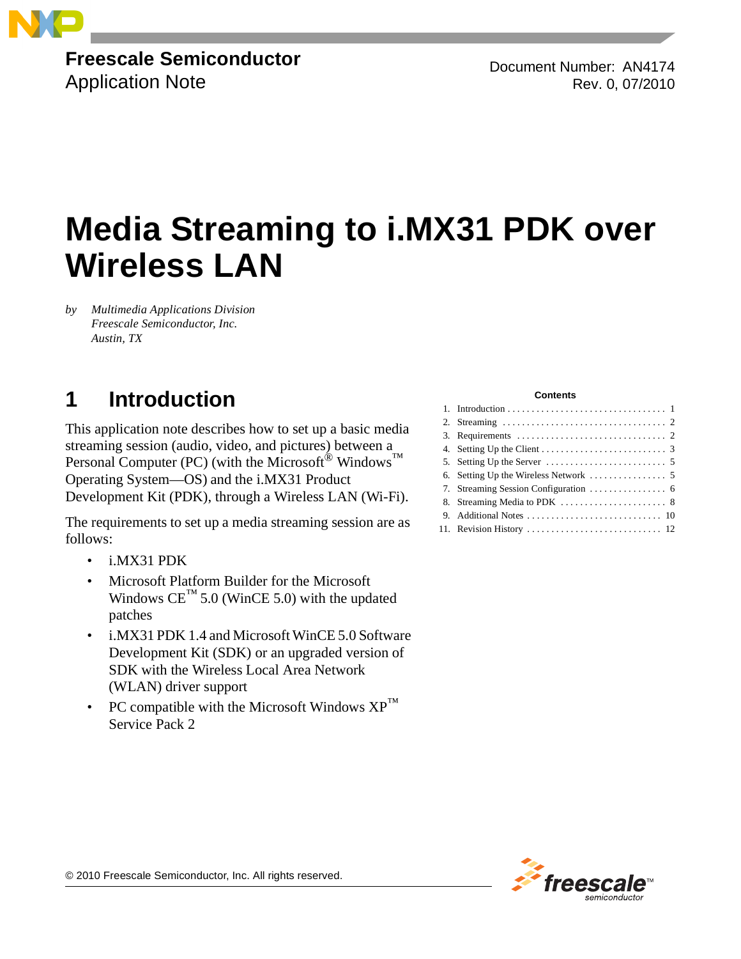

### **Freescale Semiconductor** Application Note

Document Number: AN4174 Rev. 0, 07/2010

# **Media Streaming to i.MX31 PDK over Wireless LAN**

*by Multimedia Applications Division Freescale Semiconductor, Inc. Austin, TX*

# <span id="page-0-0"></span>**1 Introduction**

This application note describes how to set up a basic media streaming session (audio, video, and pictures) between a Personal Computer (PC) (with the Microsoft® Windows™ Operating System—OS) and the i.MX31 Product Development Kit (PDK), through a Wireless LAN (Wi-Fi).

The requirements to set up a media streaming session are as follows:

- i.MX31 PDK
- Microsoft Platform Builder for the Microsoft Windows  $CE^{TM}$  5.0 (WinCE 5.0) with the updated patches
- i.MX31 PDK 1.4 and Microsoft WinCE 5.0 Software Development Kit (SDK) or an upgraded version of SDK with the Wireless Local Area Network (WLAN) driver support
- PC compatible with the Microsoft Windows  $XP^{\mathcal{TM}}$ Service Pack 2

#### **Contents**

| 5. Setting Up the Server $\dots \dots \dots \dots \dots \dots \dots \dots$ |
|----------------------------------------------------------------------------|
|                                                                            |
|                                                                            |
|                                                                            |
|                                                                            |
|                                                                            |



© 2010 Freescale Semiconductor, Inc. All rights reserved.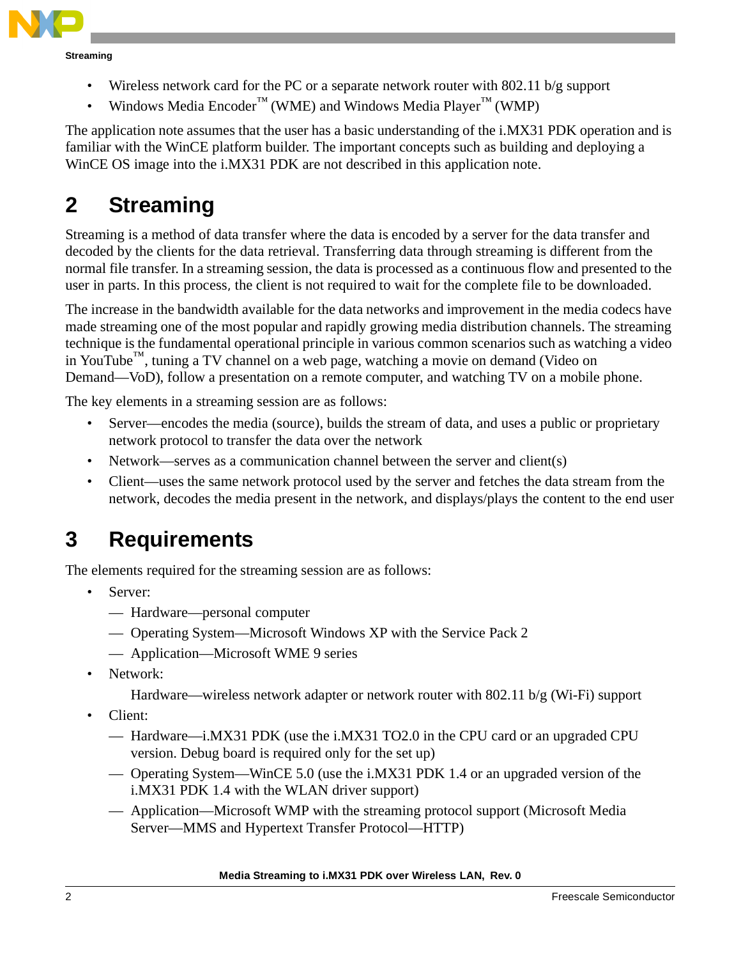

**Streaming**

- Wireless network card for the PC or a separate network router with 802.11 b/g support
- Windows Media  $Encoder^{TM}$  (WME) and Windows Media Player<sup>™</sup> (WMP)

The application note assumes that the user has a basic understanding of the i.MX31 PDK operation and is familiar with the WinCE platform builder. The important concepts such as building and deploying a WinCE OS image into the i.MX31 PDK are not described in this application note.

# <span id="page-1-1"></span>**2 Streaming**

Streaming is a method of data transfer where the data is encoded by a server for the data transfer and decoded by the clients for the data retrieval. Transferring data through streaming is different from the normal file transfer. In a streaming session, the data is processed as a continuous flow and presented to the user in parts. In this process, the client is not required to wait for the complete file to be downloaded.

The increase in the bandwidth available for the data networks and improvement in the media codecs have made streaming one of the most popular and rapidly growing media distribution channels. The streaming technique is the fundamental operational principle in various common scenarios such as watching a video in YouTube™, tuning a TV channel on a web page, watching a movie on demand (Video on Demand—VoD), follow a presentation on a remote computer, and watching TV on a mobile phone.

The key elements in a streaming session are as follows:

- Server—encodes the media (source), builds the stream of data, and uses a public or proprietary network protocol to transfer the data over the network
- Network—serves as a communication channel between the server and client(s)
- Client—uses the same network protocol used by the server and fetches the data stream from the network, decodes the media present in the network, and displays/plays the content to the end user

# <span id="page-1-0"></span>**3 Requirements**

The elements required for the streaming session are as follows:

- Server:
	- Hardware—personal computer
	- Operating System—Microsoft Windows XP with the Service Pack 2
	- Application—Microsoft WME 9 series
- Network:

Hardware—wireless network adapter or network router with 802.11 b/g (Wi-Fi) support

- Client:
	- Hardware—i.MX31 PDK (use the i.MX31 TO2.0 in the CPU card or an upgraded CPU version. Debug board is required only for the set up)
	- Operating System—WinCE 5.0 (use the i.MX31 PDK 1.4 or an upgraded version of the i.MX31 PDK 1.4 with the WLAN driver support)
	- Application—Microsoft WMP with the streaming protocol support (Microsoft Media Server—MMS and Hypertext Transfer Protocol—HTTP)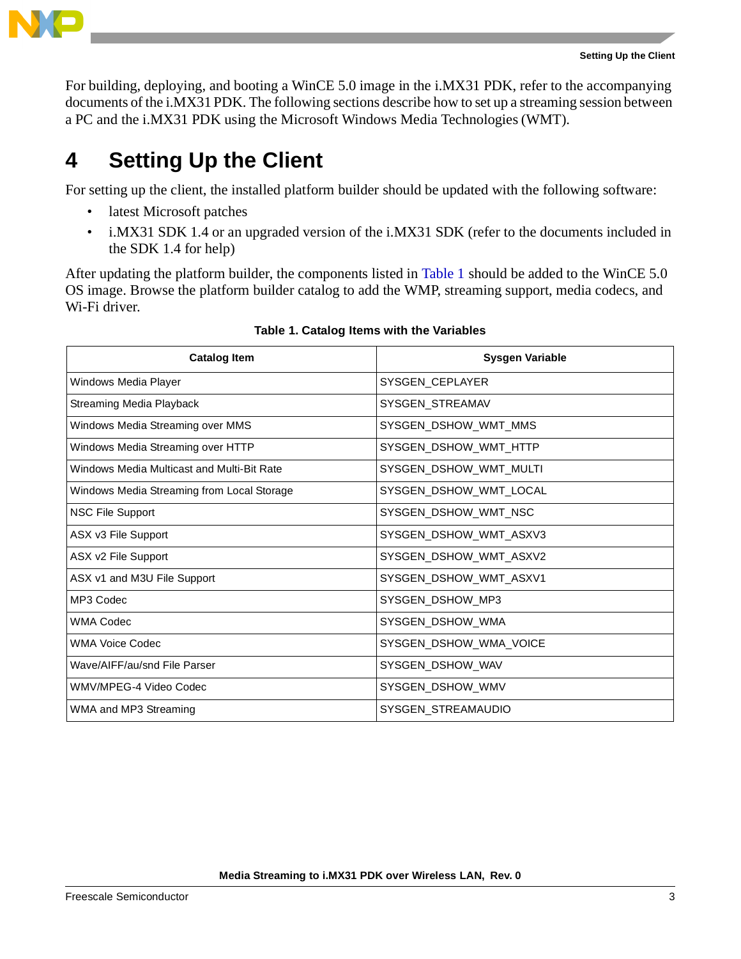



For building, deploying, and booting a WinCE 5.0 image in the i.MX31 PDK, refer to the accompanying documents of the i.MX31 PDK. The following sections describe how to set up a streaming session between a PC and the i.MX31 PDK using the Microsoft Windows Media Technologies (WMT).

# <span id="page-2-0"></span>**4 Setting Up the Client**

For setting up the client, the installed platform builder should be updated with the following software:

- latest Microsoft patches
- i.MX31 SDK 1.4 or an upgraded version of the i.MX31 SDK (refer to the documents included in the SDK 1.4 for help)

After updating the platform builder, the components listed in [Table 1](#page-2-1) should be added to the WinCE 5.0 OS image. Browse the platform builder catalog to add the WMP, streaming support, media codecs, and Wi-Fi driver.

<span id="page-2-1"></span>

| <b>Catalog Item</b>                        | <b>Sysgen Variable</b> |
|--------------------------------------------|------------------------|
| Windows Media Player                       | SYSGEN CEPLAYER        |
| Streaming Media Playback                   | <b>SYSGEN STREAMAV</b> |
| Windows Media Streaming over MMS           | SYSGEN_DSHOW_WMT_MMS   |
| Windows Media Streaming over HTTP          | SYSGEN_DSHOW_WMT_HTTP  |
| Windows Media Multicast and Multi-Bit Rate | SYSGEN_DSHOW_WMT_MULTI |
| Windows Media Streaming from Local Storage | SYSGEN_DSHOW_WMT_LOCAL |
| <b>NSC File Support</b>                    | SYSGEN DSHOW WMT NSC   |
| ASX v3 File Support                        | SYSGEN DSHOW WMT ASXV3 |
| ASX v2 File Support                        | SYSGEN_DSHOW_WMT_ASXV2 |
| ASX v1 and M3U File Support                | SYSGEN_DSHOW_WMT_ASXV1 |
| MP3 Codec                                  | SYSGEN_DSHOW_MP3       |
| <b>WMA Codec</b>                           | SYSGEN_DSHOW_WMA       |
| <b>WMA Voice Codec</b>                     | SYSGEN DSHOW WMA VOICE |
| Wave/AIFF/au/snd File Parser               | SYSGEN_DSHOW_WAV       |
| WMV/MPEG-4 Video Codec                     | SYSGEN_DSHOW_WMV       |
| WMA and MP3 Streaming                      | SYSGEN_STREAMAUDIO     |

#### **Table 1. Catalog Items with the Variables**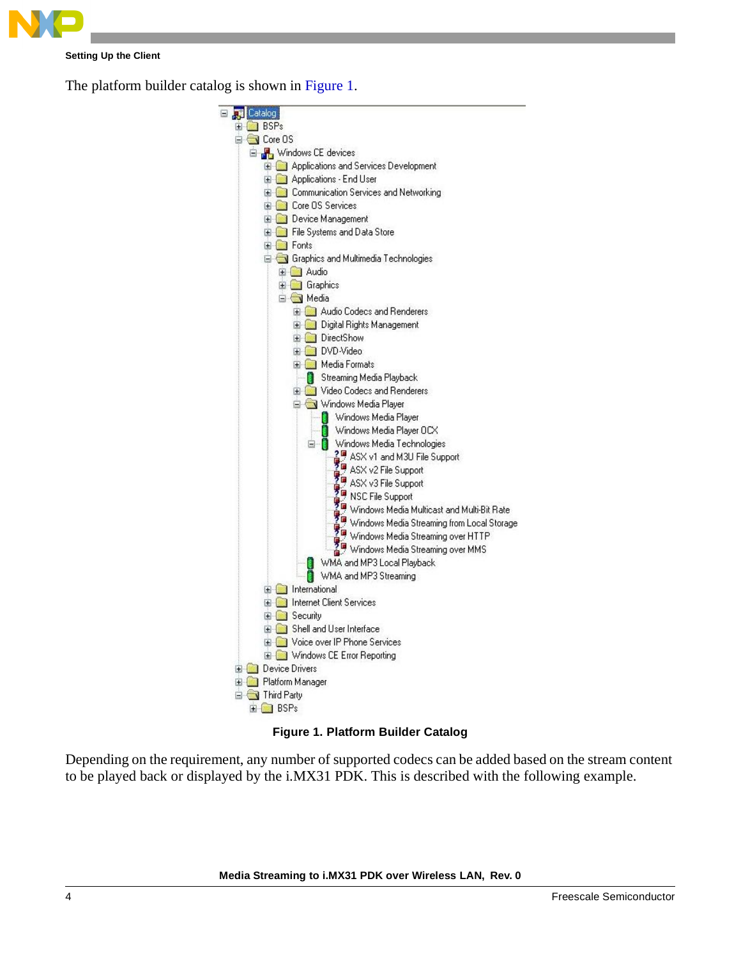

**Setting Up the Client**

The platform builder catalog is shown in [Figure 1.](#page-3-0)



**Figure 1. Platform Builder Catalog**

<span id="page-3-0"></span>Depending on the requirement, any number of supported codecs can be added based on the stream content to be played back or displayed by the i.MX31 PDK. This is described with the following example.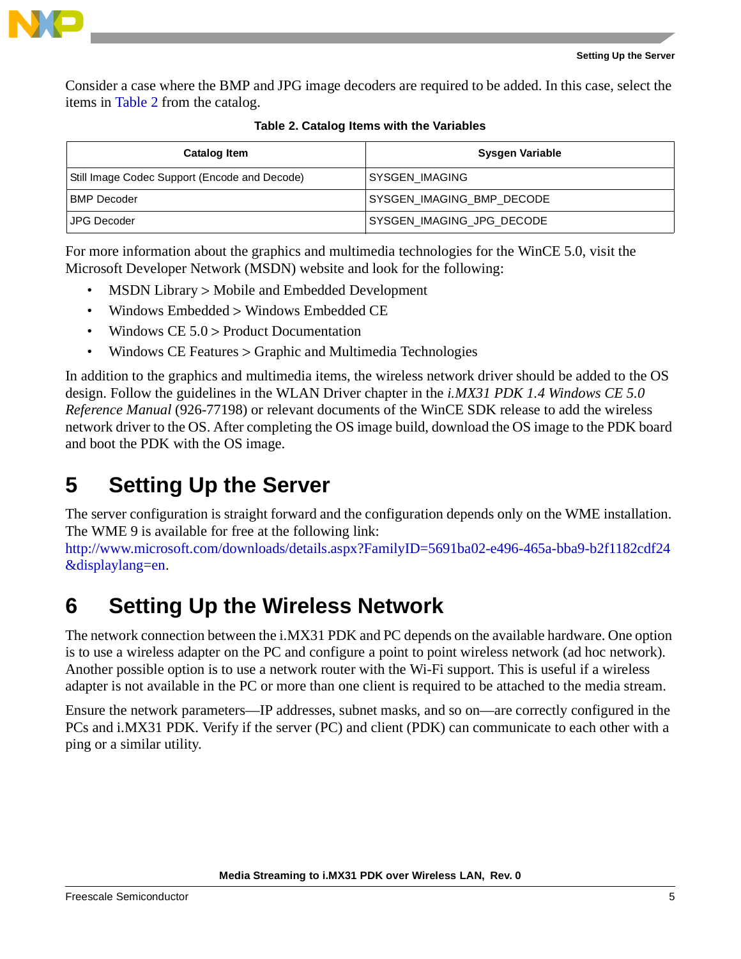

Consider a case where the BMP and JPG image decoders are required to be added. In this case, select the items in [Table 2](#page-4-2) from the catalog.

<span id="page-4-2"></span>

| Catalog Item                                  | Sysgen Variable                  |
|-----------------------------------------------|----------------------------------|
| Still Image Codec Support (Encode and Decode) | <b>SYSGEN IMAGING</b>            |
| I BMP Decoder                                 | ISYSGEN IMAGING BMP DECODE       |
| <b>JPG Decoder</b>                            | <b>SYSGEN IMAGING JPG DECODE</b> |

**Table 2. Catalog Items with the Variables**

For more information about the graphics and multimedia technologies for the WinCE 5.0, visit the Microsoft Developer Network (MSDN) website and look for the following:

- MSDN Library > Mobile and Embedded Development
- Windows Embedded > Windows Embedded CE
- Windows CE 5.0 > Product Documentation
- Windows CE Features > Graphic and Multimedia Technologies

In addition to the graphics and multimedia items, the wireless network driver should be added to the OS design. Follow the guidelines in the WLAN Driver chapter in the *i.MX31 PDK 1.4 Windows CE 5.0 Reference Manual* (926-77198) or relevant documents of the WinCE SDK release to add the wireless network driver to the OS. After completing the OS image build, download the OS image to the PDK board and boot the PDK with the OS image.

# <span id="page-4-0"></span>**5 Setting Up the Server**

The server configuration is straight forward and the configuration depends only on the WME installation. The WME 9 is available for free at the following link:

[http://www.microsoft.com/downloads/details.aspx?FamilyID=5691ba02-e496-465a-bba9-b2f1182cdf24](http://www.microsoft.com/downloads/details.aspx?FamilyID=5691ba02-e496-465a-bba9-b2f1182cdf24&displaylang=en) [&displaylang=en.](http://www.microsoft.com/downloads/details.aspx?FamilyID=5691ba02-e496-465a-bba9-b2f1182cdf24&displaylang=en)

# <span id="page-4-1"></span>**6 Setting Up the Wireless Network**

The network connection between the i.MX31 PDK and PC depends on the available hardware. One option is to use a wireless adapter on the PC and configure a point to point wireless network (ad hoc network). Another possible option is to use a network router with the Wi-Fi support. This is useful if a wireless adapter is not available in the PC or more than one client is required to be attached to the media stream.

Ensure the network parameters—IP addresses, subnet masks, and so on—are correctly configured in the PCs and i.MX31 PDK. Verify if the server (PC) and client (PDK) can communicate to each other with a ping or a similar utility.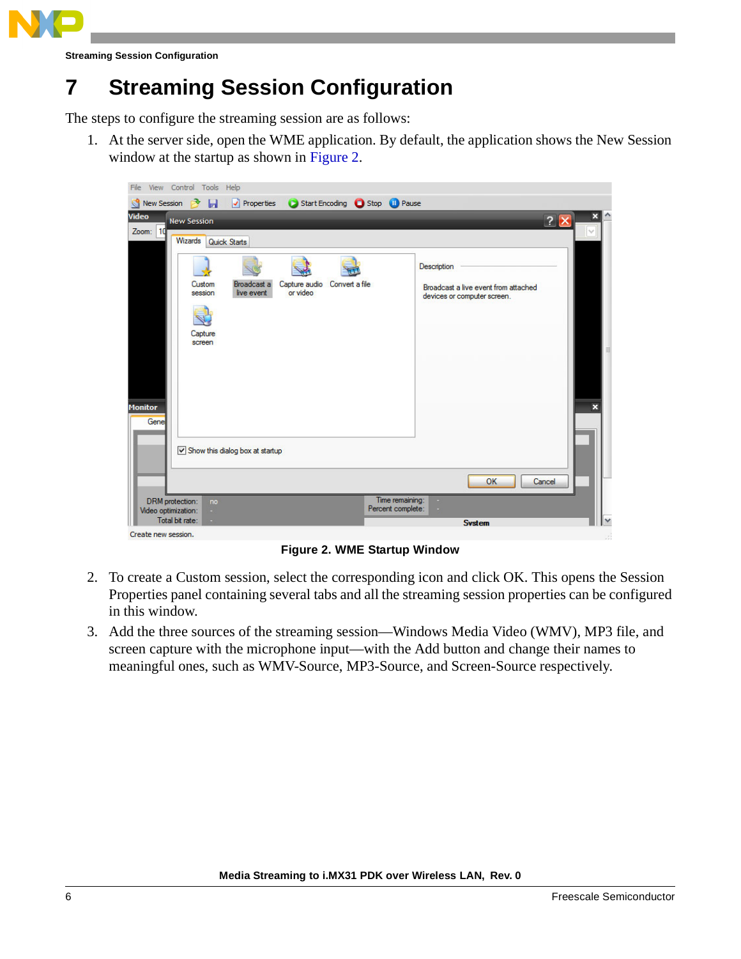

**Streaming Session Configuration**

# <span id="page-5-0"></span>**7 Streaming Session Configuration**

The steps to configure the streaming session are as follows:

1. At the server side, open the WME application. By default, the application shows the New Session window at the startup as shown in [Figure 2.](#page-5-1)

| File View Control Tools Help                                                                                                                                   |                                                                                                |
|----------------------------------------------------------------------------------------------------------------------------------------------------------------|------------------------------------------------------------------------------------------------|
| Start Encoding Stop Pause<br>S New Session <b>B</b><br>$\sqrt{ }$ Properties                                                                                   |                                                                                                |
| <b>Video</b><br><b>New Session</b><br>Zoom:<br> 10<br>Wizards<br>Quick Starts                                                                                  | $ ?  \times$                                                                                   |
| Capture audio<br>Convert a file<br>Custom<br>Broadcast a<br>or video<br>session<br>live event<br>Capture<br>screen                                             | Description<br>Broadcast a live event from attached<br>devices or computer screen.<br>$\equiv$ |
| <b>Monitor</b><br>Genel<br>$\triangledown$ Show this dialog box at startup<br><b>DRM</b> protection:<br>no<br>Video optimization:<br>٠<br>Total bit rate:<br>× | ×<br>OK<br>Cancel<br>Time remaining:<br>٠<br>Percent complete:<br>u.<br><b>System</b>          |
| Create new session.                                                                                                                                            |                                                                                                |

**Figure 2. WME Startup Window**

- <span id="page-5-1"></span>2. To create a Custom session, select the corresponding icon and click OK. This opens the Session Properties panel containing several tabs and all the streaming session properties can be configured in this window.
- 3. Add the three sources of the streaming session—Windows Media Video (WMV), MP3 file, and screen capture with the microphone input—with the Add button and change their names to meaningful ones, such as WMV-Source, MP3-Source, and Screen-Source respectively.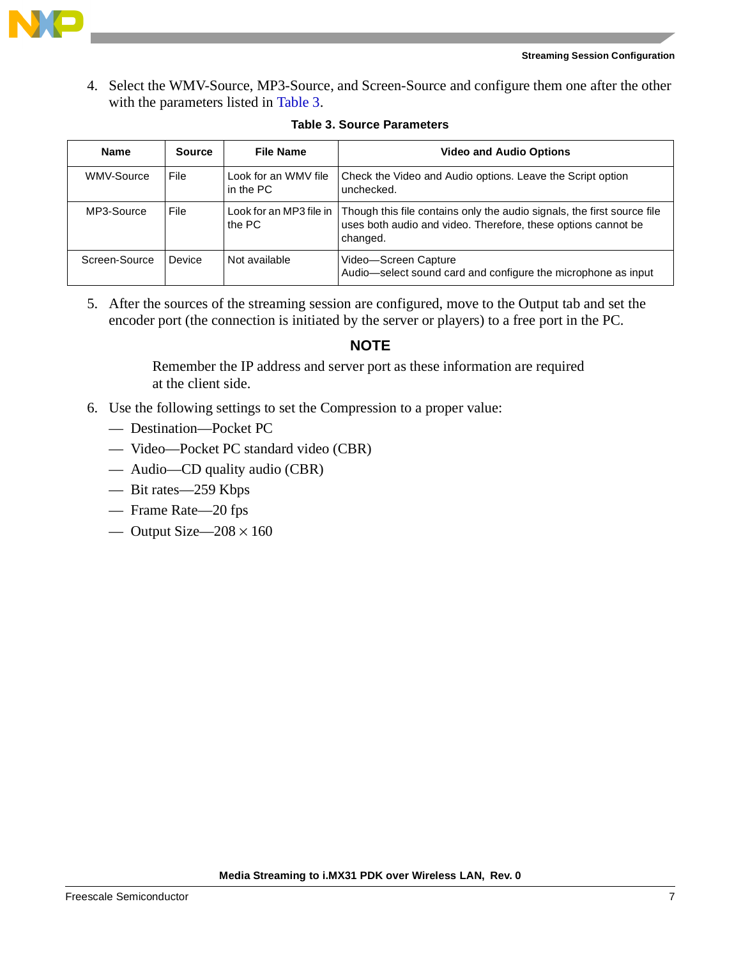

4. Select the WMV-Source, MP3-Source, and Screen-Source and configure them one after the other with the parameters listed in [Table 3](#page-6-0).

<span id="page-6-0"></span>

| <b>Name</b>   | <b>Source</b> | <b>File Name</b>                    | <b>Video and Audio Options</b>                                                                                                                       |
|---------------|---------------|-------------------------------------|------------------------------------------------------------------------------------------------------------------------------------------------------|
| WMV-Source    | File          | Look for an WMV file<br>in the PC   | Check the Video and Audio options. Leave the Script option<br>unchecked.                                                                             |
| MP3-Source    | File          | Look for an MP3 file in I<br>the PC | Though this file contains only the audio signals, the first source file<br>uses both audio and video. Therefore, these options cannot be<br>changed. |
| Screen-Source | Device        | Not available                       | Video-Screen Capture<br>Audio-select sound card and configure the microphone as input                                                                |

#### **Table 3. Source Parameters**

5. After the sources of the streaming session are configured, move to the Output tab and set the encoder port (the connection is initiated by the server or players) to a free port in the PC.

### **NOTE**

Remember the IP address and server port as these information are required at the client side.

- 6. Use the following settings to set the Compression to a proper value:
	- Destination—Pocket PC
	- Video—Pocket PC standard video (CBR)
	- Audio—CD quality audio (CBR)
	- Bit rates—259 Kbps
	- Frame Rate—20 fps
	- Output Size— $208 \times 160$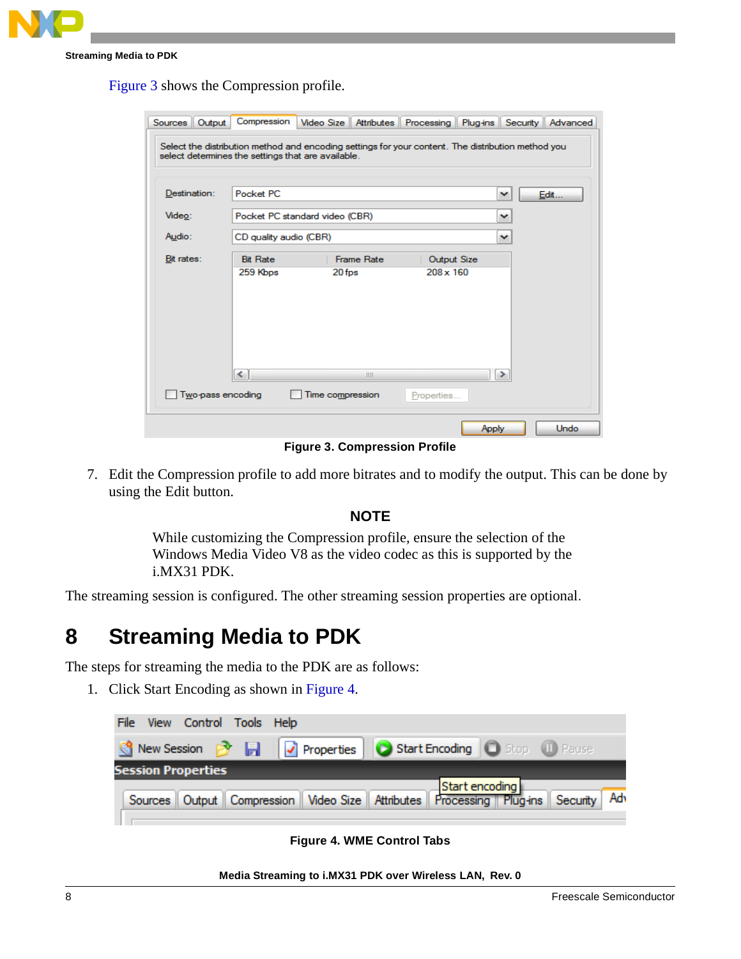

[Figure 3](#page-7-1) shows the Compression profile.

| Output<br>Sources | Compression<br>select determines the settings that are available. | Video Size<br>Select the distribution method and encoding settings for your content. The distribution method you | Attributes Processing<br>Plug-ins |              | Security Advanced |
|-------------------|-------------------------------------------------------------------|------------------------------------------------------------------------------------------------------------------|-----------------------------------|--------------|-------------------|
|                   |                                                                   |                                                                                                                  |                                   |              |                   |
| Destination:      | Pocket PC.                                                        |                                                                                                                  |                                   | $\checkmark$ | Edit              |
| Video:            | Pocket PC standard video (CBR)                                    |                                                                                                                  |                                   | v            |                   |
| Audio:            | CD quality audio (CBR)                                            |                                                                                                                  |                                   | $\checkmark$ |                   |
| Bit rates:        | <b>Bit Rate</b>                                                   | Frame Rate                                                                                                       | Output Size                       |              |                   |
|                   | 259 Kbps                                                          | 20 fps                                                                                                           | $208 \times 160$                  |              |                   |
|                   |                                                                   |                                                                                                                  |                                   |              |                   |
|                   | $\overline{\phantom{a}}$                                          | Ш                                                                                                                |                                   | ⋟            |                   |
| Two-pass encoding |                                                                   | Time compression                                                                                                 | Properties                        |              |                   |
|                   |                                                                   |                                                                                                                  |                                   | Apply        | <b>Undo</b>       |

**Figure 3. Compression Profile**

<span id="page-7-1"></span>7. Edit the Compression profile to add more bitrates and to modify the output. This can be done by using the Edit button.

#### **NOTE**

While customizing the Compression profile, ensure the selection of the Windows Media Video V8 as the video codec as this is supported by the i.MX31 PDK.

The streaming session is configured. The other streaming session properties are optional.

### <span id="page-7-0"></span>**8 Streaming Media to PDK**

The steps for streaming the media to the PDK are as follows:

1. Click Start Encoding as shown in [Figure 4](#page-7-2).

<span id="page-7-2"></span>

| File View Control Tools Help |                                                                                                   |
|------------------------------|---------------------------------------------------------------------------------------------------|
|                              | S New Session <b>B F V</b> Properties <b>C</b> Start Encoding <b>O</b> Stop <b>ID</b> Pause       |
| <b>Session Properties</b>    |                                                                                                   |
|                              | Sources   Output   Compression   Video Size   Attributes   Processing   Plug-ins   Security   Adv |



**Media Streaming to i.MX31 PDK over Wireless LAN, Rev. 0**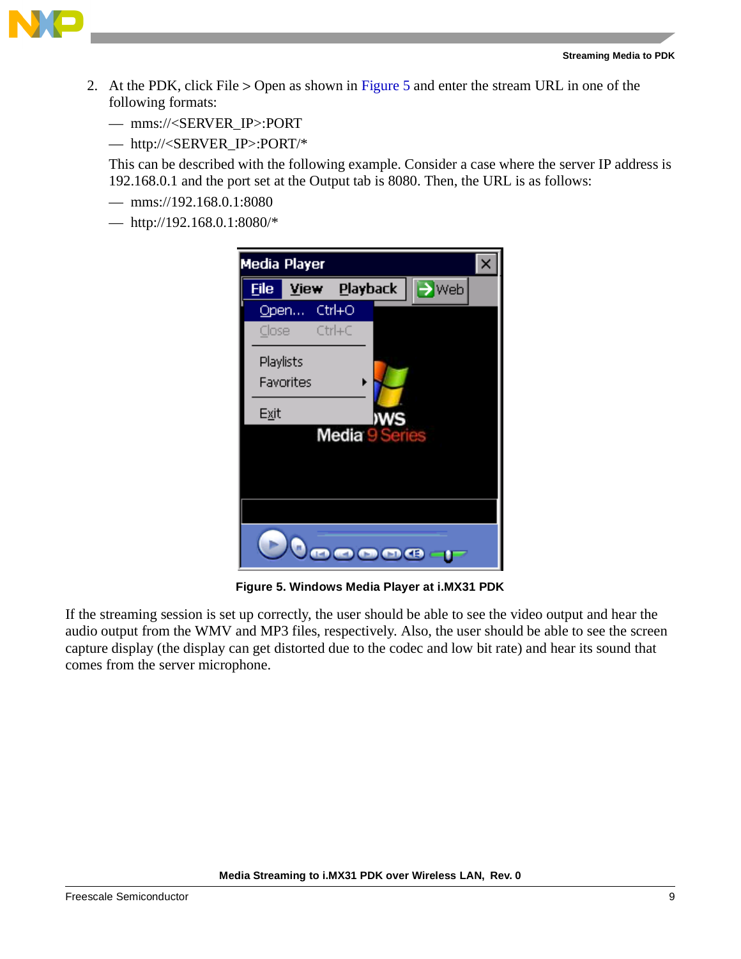

- 2. At the PDK, click File > Open as shown in [Figure 5](#page-8-0) and enter the stream URL in one of the following formats:
	- mms://<SERVER\_IP>:PORT
	- http://<SERVER\_IP>:PORT/\*

This can be described with the following example. Consider a case where the server IP address is 192.168.0.1 and the port set at the Output tab is 8080. Then, the URL is as follows:

- $-$  mms://192.168.0.1:8080
- $-$  http://192.168.0.1:8080/\*



**Figure 5. Windows Media Player at i.MX31 PDK**

<span id="page-8-0"></span>If the streaming session is set up correctly, the user should be able to see the video output and hear the audio output from the WMV and MP3 files, respectively. Also, the user should be able to see the screen capture display (the display can get distorted due to the codec and low bit rate) and hear its sound that comes from the server microphone.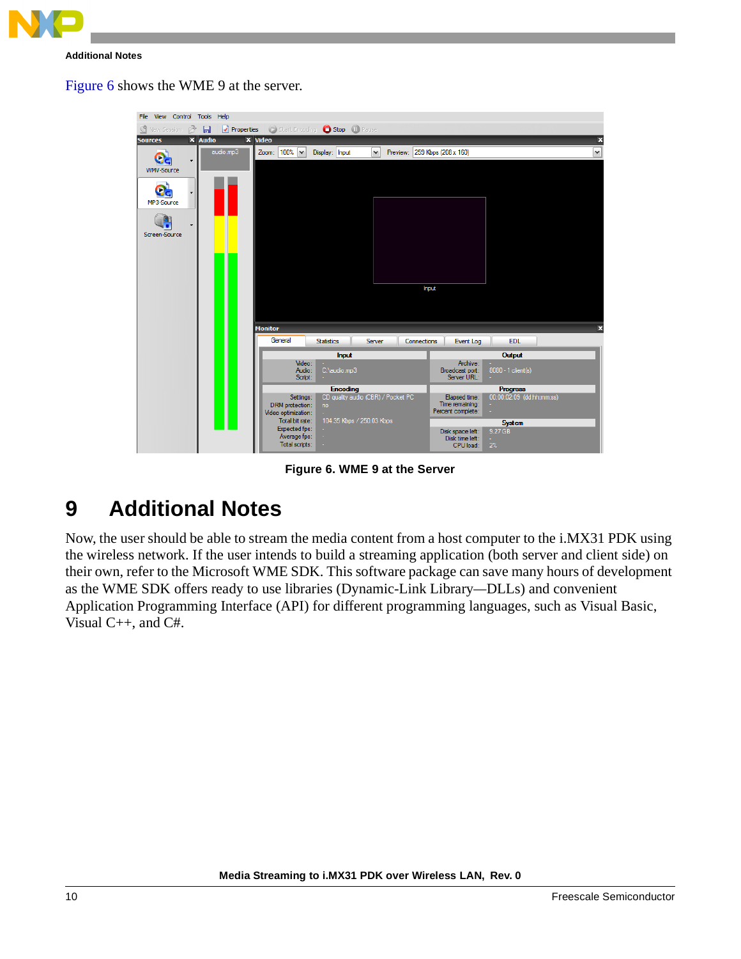

**Additional Notes**

[Figure 6](#page-9-1) shows the WME 9 at the server.

| File View Control Tools Help |                      |                |           |                       |                |                                               |          |                   |                           |                                    |             |                                     |                           |   |
|------------------------------|----------------------|----------------|-----------|-----------------------|----------------|-----------------------------------------------|----------|-------------------|---------------------------|------------------------------------|-------------|-------------------------------------|---------------------------|---|
| S New Session Pr             |                      | $\blacksquare$ |           | $\sqrt{ }$ Properties |                | Start Encoding Stop 1 Pause                   |          |                   |                           |                                    |             |                                     |                           |   |
| <b>Sources</b>               |                      | <b>×</b> Audio |           |                       | <b>×</b> Video |                                               |          |                   |                           |                                    |             |                                     |                           |   |
|                              |                      |                | audio.mp3 |                       | Zoom:          | $100%$ $\sim$                                 |          | Display: Input    | $\checkmark$              |                                    |             | Preview: 259 Kbps (208 x 160)       |                           | v |
|                              | $\blacktriangledown$ |                |           |                       |                |                                               |          |                   |                           |                                    |             |                                     |                           |   |
| <b>WMV-Source</b>            |                      |                |           |                       |                |                                               |          |                   |                           |                                    |             |                                     |                           |   |
|                              |                      |                |           |                       |                |                                               |          |                   |                           |                                    |             |                                     |                           |   |
|                              |                      |                |           |                       |                |                                               |          |                   |                           |                                    |             |                                     |                           |   |
| MP3-Source                   |                      |                |           |                       |                |                                               |          |                   |                           |                                    |             |                                     |                           |   |
|                              |                      |                |           |                       |                |                                               |          |                   |                           |                                    |             |                                     |                           |   |
| Screen-Source                |                      |                |           |                       |                |                                               |          |                   |                           |                                    |             |                                     |                           |   |
|                              |                      |                |           |                       |                |                                               |          |                   |                           |                                    |             |                                     |                           |   |
|                              |                      |                |           |                       |                |                                               |          |                   |                           |                                    |             |                                     |                           |   |
|                              |                      |                |           |                       |                |                                               |          |                   |                           |                                    |             |                                     |                           |   |
|                              |                      |                |           |                       |                |                                               |          |                   |                           |                                    |             |                                     |                           |   |
|                              |                      |                |           |                       |                |                                               |          |                   |                           |                                    |             | Input                               |                           |   |
|                              |                      |                |           |                       |                |                                               |          |                   |                           |                                    |             |                                     |                           |   |
|                              |                      |                |           |                       |                |                                               |          |                   |                           |                                    |             |                                     |                           |   |
|                              |                      |                |           |                       | <b>Monitor</b> |                                               |          |                   |                           |                                    |             |                                     |                           |   |
|                              |                      |                |           |                       |                | General                                       |          | <b>Statistics</b> | Server                    |                                    | Connections | Event Log                           | <b>EDL</b>                |   |
|                              |                      |                |           |                       |                |                                               |          | <b>Input</b>      |                           |                                    |             |                                     | Output                    |   |
|                              |                      |                |           |                       |                | Video:                                        |          |                   |                           |                                    |             | Archive:                            |                           |   |
|                              |                      |                |           |                       |                | Audio:<br>Script:                             |          | C:\audio.mp3      |                           |                                    |             | Broadcast port:<br>Server URL:      | 8080 - 1 client(s)        |   |
|                              |                      |                |           |                       |                |                                               |          | <b>Encoding</b>   |                           |                                    |             |                                     | <b>Progress</b>           |   |
|                              |                      |                |           |                       |                | Settings:                                     |          |                   |                           | CD quality audio (CBR) / Pocket PC |             | Elapsed time:<br>Time remaining:    | 00:00:02:09 (dd:hh:mm:ss) |   |
|                              |                      |                |           |                       |                | <b>DRM</b> protection:<br>Video optimization: | no<br>a. |                   |                           |                                    |             | Percent complete:                   |                           |   |
|                              |                      |                |           |                       |                | Total bit rate:                               |          |                   | 104.35 Kbps / 250.03 Kbps |                                    |             |                                     | <b>System</b>             |   |
|                              |                      |                |           |                       |                | Expected fps:<br>Average fps:                 | ä,       |                   |                           |                                    |             | Disk space left:<br>Disk time left: | 9.27 GB                   |   |
|                              |                      |                |           |                       |                | Total scripts:                                |          |                   |                           |                                    |             | CPU load:                           | 2%                        |   |

**Figure 6. WME 9 at the Server** 

# <span id="page-9-1"></span><span id="page-9-0"></span>**9 Additional Notes**

Now, the user should be able to stream the media content from a host computer to the i.MX31 PDK using the wireless network. If the user intends to build a streaming application (both server and client side) on their own, refer to the Microsoft WME SDK. This software package can save many hours of development as the WME SDK offers ready to use libraries (Dynamic-Link Library*—*DLLs) and convenient Application Programming Interface (API) for different programming languages, such as Visual Basic, Visual C++, and C#.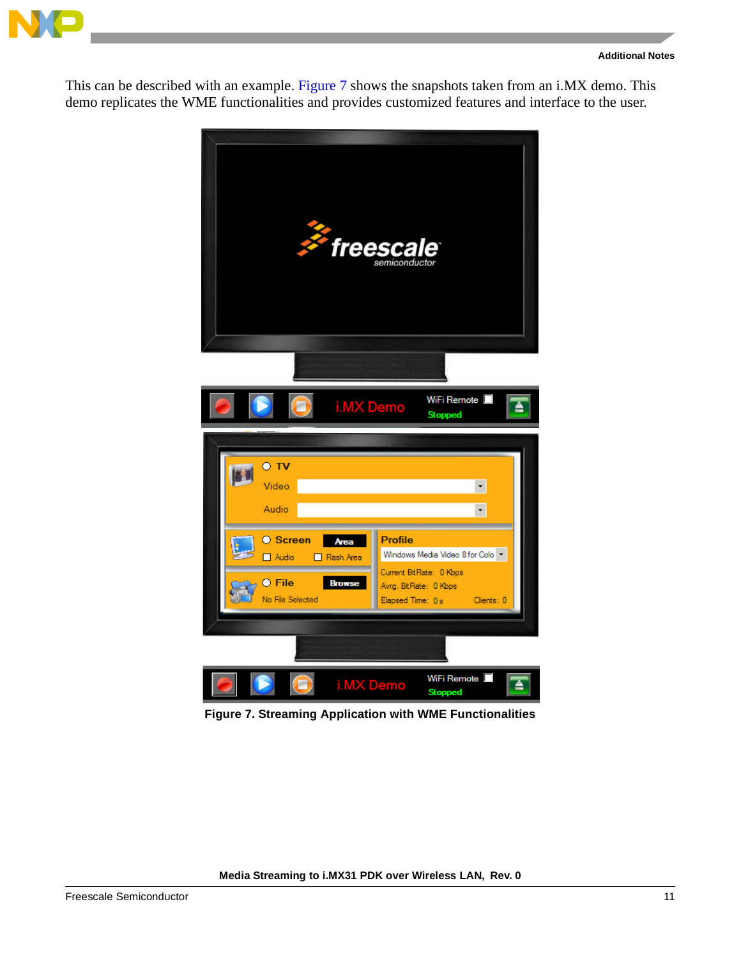

This can be described with an example. [Figure 7](#page-10-0) shows the snapshots taken from an i.MX demo. This demo replicates the WME functionalities and provides customized features and interface to the user.

<span id="page-10-0"></span>

**Figure 7. Streaming Application with WME Functionalities**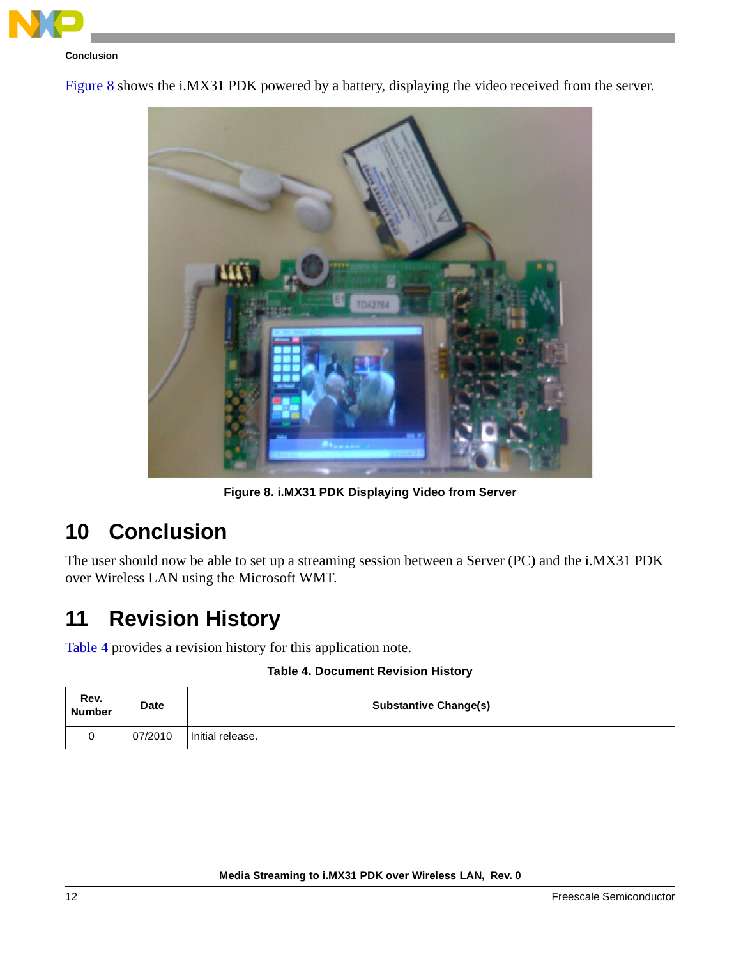

**Conclusion**



[Figure 8](#page-11-2) shows the i.MX31 PDK powered by a battery, displaying the video received from the server.

**Figure 8. i.MX31 PDK Displaying Video from Server**

### <span id="page-11-2"></span>**10 Conclusion**

The user should now be able to set up a streaming session between a Server (PC) and the i.MX31 PDK over Wireless LAN using the Microsoft WMT.

# <span id="page-11-0"></span>**11 Revision History**

<span id="page-11-1"></span>[Table 4](#page-11-1) provides a revision history for this application note.

| Rev.<br><b>Number</b> | Date    | <b>Substantive Change(s)</b> |  |  |  |  |
|-----------------------|---------|------------------------------|--|--|--|--|
|                       | 07/2010 | I Initial release.           |  |  |  |  |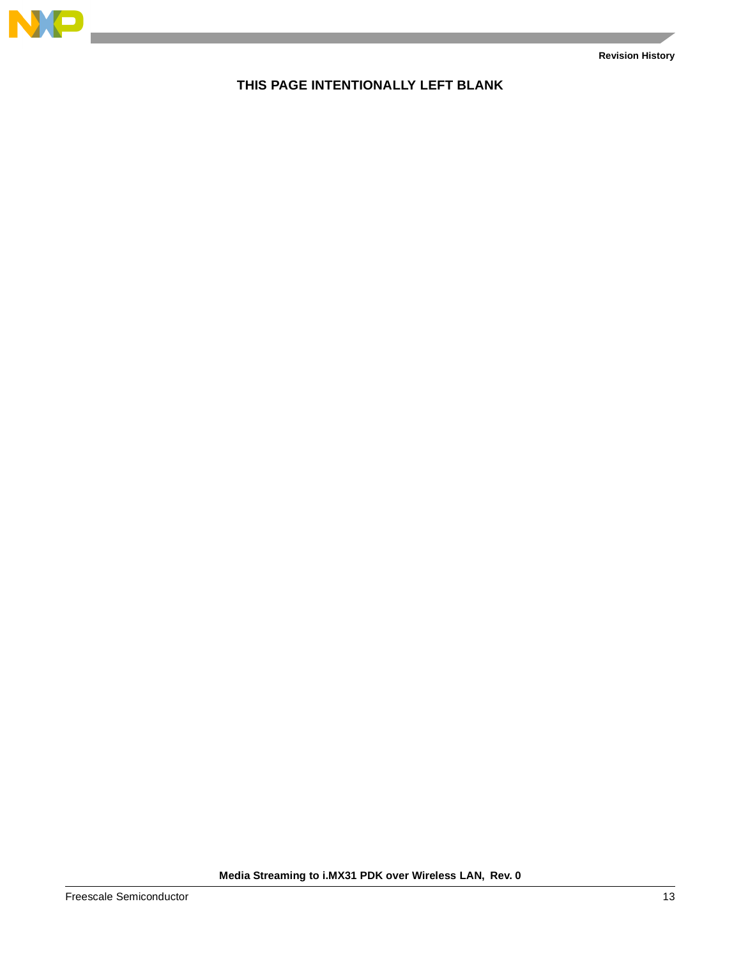

 $\overline{\phantom{a}}$ 

#### **THIS PAGE INTENTIONALLY LEFT BLANK**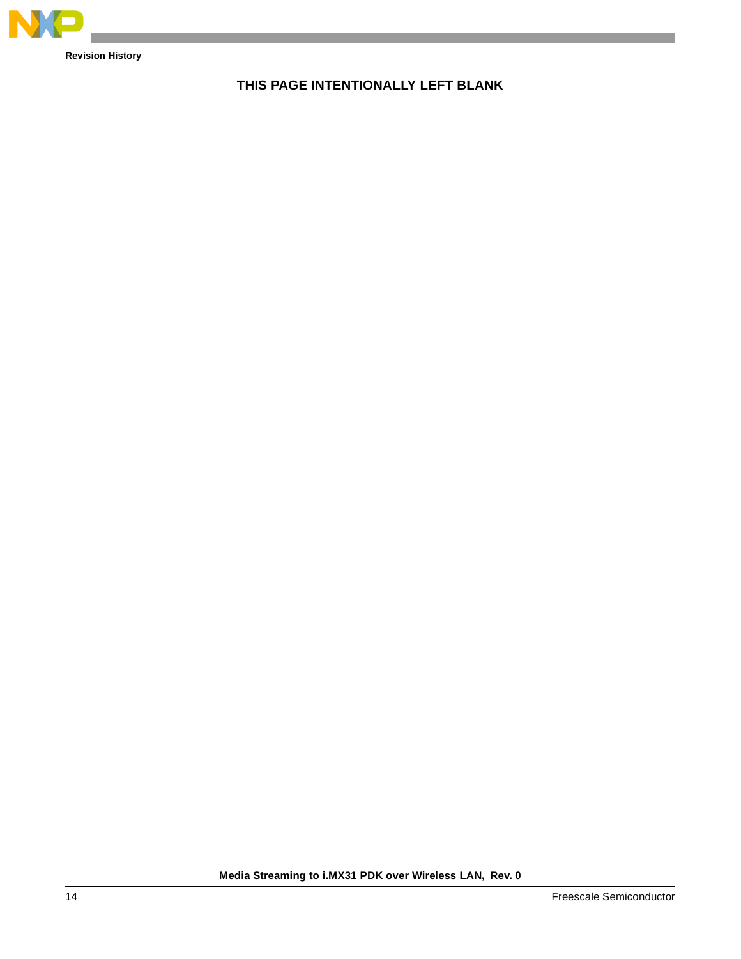

**Revision History**

### **THIS PAGE INTENTIONALLY LEFT BLANK**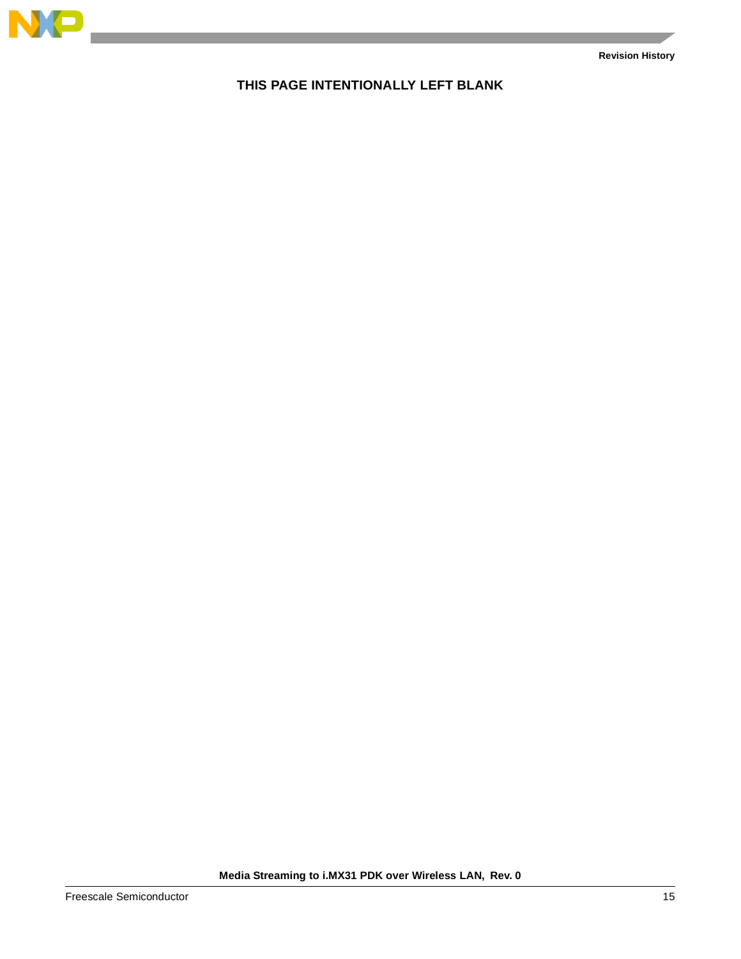

 $\overline{\phantom{a}}$ 

#### **THIS PAGE INTENTIONALLY LEFT BLANK**